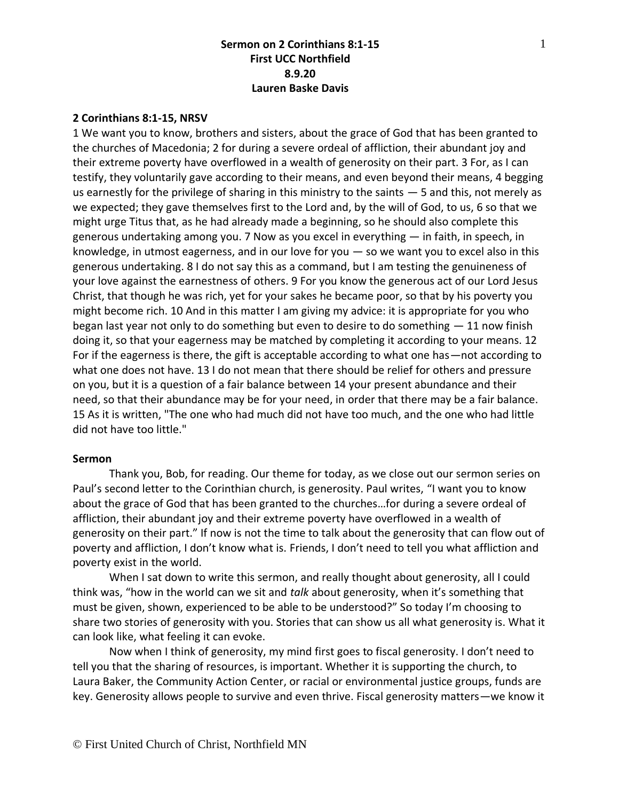#### **2 Corinthians 8:1-15, NRSV**

1 We want you to know, brothers and sisters, about the grace of God that has been granted to the churches of Macedonia; 2 for during a severe ordeal of affliction, their abundant joy and their extreme poverty have overflowed in a wealth of generosity on their part. 3 For, as I can testify, they voluntarily gave according to their means, and even beyond their means, 4 begging us earnestly for the privilege of sharing in this ministry to the saints — 5 and this, not merely as we expected; they gave themselves first to the Lord and, by the will of God, to us, 6 so that we might urge Titus that, as he had already made a beginning, so he should also complete this generous undertaking among you. 7 Now as you excel in everything — in faith, in speech, in knowledge, in utmost eagerness, and in our love for you — so we want you to excel also in this generous undertaking. 8 I do not say this as a command, but I am testing the genuineness of your love against the earnestness of others. 9 For you know the generous act of our Lord Jesus Christ, that though he was rich, yet for your sakes he became poor, so that by his poverty you might become rich. 10 And in this matter I am giving my advice: it is appropriate for you who began last year not only to do something but even to desire to do something  $-11$  now finish doing it, so that your eagerness may be matched by completing it according to your means. 12 For if the eagerness is there, the gift is acceptable according to what one has—not according to what one does not have. 13 I do not mean that there should be relief for others and pressure on you, but it is a question of a fair balance between 14 your present abundance and their need, so that their abundance may be for your need, in order that there may be a fair balance. 15 As it is written, "The one who had much did not have too much, and the one who had little did not have too little."

#### **Sermon**

Thank you, Bob, for reading. Our theme for today, as we close out our sermon series on Paul's second letter to the Corinthian church, is generosity. Paul writes, "I want you to know about the grace of God that has been granted to the churches…for during a severe ordeal of affliction, their abundant joy and their extreme poverty have overflowed in a wealth of generosity on their part." If now is not the time to talk about the generosity that can flow out of poverty and affliction, I don't know what is. Friends, I don't need to tell you what affliction and poverty exist in the world.

When I sat down to write this sermon, and really thought about generosity, all I could think was, "how in the world can we sit and *talk* about generosity, when it's something that must be given, shown, experienced to be able to be understood?" So today I'm choosing to share two stories of generosity with you. Stories that can show us all what generosity is. What it can look like, what feeling it can evoke.

Now when I think of generosity, my mind first goes to fiscal generosity. I don't need to tell you that the sharing of resources, is important. Whether it is supporting the church, to Laura Baker, the Community Action Center, or racial or environmental justice groups, funds are key. Generosity allows people to survive and even thrive. Fiscal generosity matters—we know it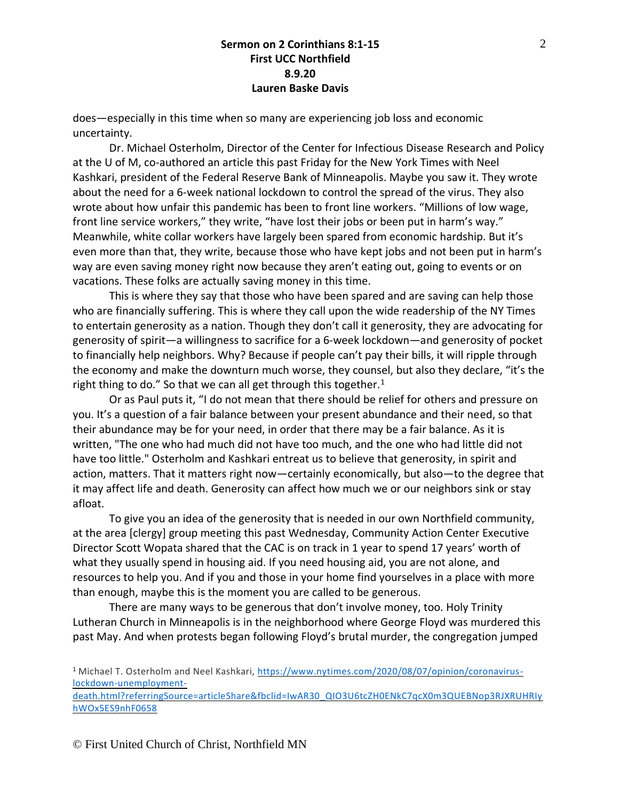does—especially in this time when so many are experiencing job loss and economic uncertainty.

Dr. Michael Osterholm, Director of the Center for Infectious Disease Research and Policy at the U of M, co-authored an article this past Friday for the New York Times with Neel Kashkari, president of the Federal Reserve Bank of Minneapolis. Maybe you saw it. They wrote about the need for a 6-week national lockdown to control the spread of the virus. They also wrote about how unfair this pandemic has been to front line workers. "Millions of low wage, front line service workers," they write, "have lost their jobs or been put in harm's way." Meanwhile, white collar workers have largely been spared from economic hardship. But it's even more than that, they write, because those who have kept jobs and not been put in harm's way are even saving money right now because they aren't eating out, going to events or on vacations. These folks are actually saving money in this time.

This is where they say that those who have been spared and are saving can help those who are financially suffering. This is where they call upon the wide readership of the NY Times to entertain generosity as a nation. Though they don't call it generosity, they are advocating for generosity of spirit—a willingness to sacrifice for a 6-week lockdown—and generosity of pocket to financially help neighbors. Why? Because if people can't pay their bills, it will ripple through the economy and make the downturn much worse, they counsel, but also they declare, "it's the right thing to do." So that we can all get through this together. $1$ 

Or as Paul puts it, "I do not mean that there should be relief for others and pressure on you. It's a question of a fair balance between your present abundance and their need, so that their abundance may be for your need, in order that there may be a fair balance. As it is written, "The one who had much did not have too much, and the one who had little did not have too little." Osterholm and Kashkari entreat us to believe that generosity, in spirit and action, matters. That it matters right now—certainly economically, but also—to the degree that it may affect life and death. Generosity can affect how much we or our neighbors sink or stay afloat.

To give you an idea of the generosity that is needed in our own Northfield community, at the area [clergy] group meeting this past Wednesday, Community Action Center Executive Director Scott Wopata shared that the CAC is on track in 1 year to spend 17 years' worth of what they usually spend in housing aid. If you need housing aid, you are not alone, and resources to help you. And if you and those in your home find yourselves in a place with more than enough, maybe this is the moment you are called to be generous.

There are many ways to be generous that don't involve money, too. Holy Trinity Lutheran Church in Minneapolis is in the neighborhood where George Floyd was murdered this past May. And when protests began following Floyd's brutal murder, the congregation jumped

<sup>1</sup> Michael T. Osterholm and Neel Kashkari, [https://www.nytimes.com/2020/08/07/opinion/coronavirus](https://www.nytimes.com/2020/08/07/opinion/coronavirus-lockdown-unemployment-death.html?referringSource=articleShare&fbclid=IwAR30_QIO3U6tcZH0ENkC7qcX0m3QUEBNop3RJXRUHRIyhWOx5ES9nhF0658)[lockdown-unemployment-](https://www.nytimes.com/2020/08/07/opinion/coronavirus-lockdown-unemployment-death.html?referringSource=articleShare&fbclid=IwAR30_QIO3U6tcZH0ENkC7qcX0m3QUEBNop3RJXRUHRIyhWOx5ES9nhF0658)

[death.html?referringSource=articleShare&fbclid=IwAR30\\_QIO3U6tcZH0ENkC7qcX0m3QUEBNop3RJXRUHRIy](https://www.nytimes.com/2020/08/07/opinion/coronavirus-lockdown-unemployment-death.html?referringSource=articleShare&fbclid=IwAR30_QIO3U6tcZH0ENkC7qcX0m3QUEBNop3RJXRUHRIyhWOx5ES9nhF0658) [hWOx5ES9nhF0658](https://www.nytimes.com/2020/08/07/opinion/coronavirus-lockdown-unemployment-death.html?referringSource=articleShare&fbclid=IwAR30_QIO3U6tcZH0ENkC7qcX0m3QUEBNop3RJXRUHRIyhWOx5ES9nhF0658)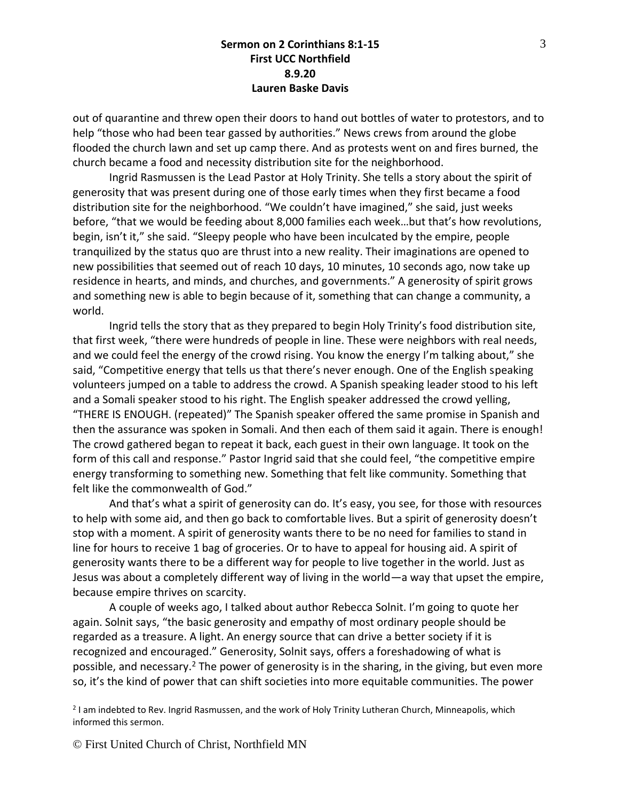out of quarantine and threw open their doors to hand out bottles of water to protestors, and to help "those who had been tear gassed by authorities." News crews from around the globe flooded the church lawn and set up camp there. And as protests went on and fires burned, the church became a food and necessity distribution site for the neighborhood.

Ingrid Rasmussen is the Lead Pastor at Holy Trinity. She tells a story about the spirit of generosity that was present during one of those early times when they first became a food distribution site for the neighborhood. "We couldn't have imagined," she said, just weeks before, "that we would be feeding about 8,000 families each week…but that's how revolutions, begin, isn't it," she said. "Sleepy people who have been inculcated by the empire, people tranquilized by the status quo are thrust into a new reality. Their imaginations are opened to new possibilities that seemed out of reach 10 days, 10 minutes, 10 seconds ago, now take up residence in hearts, and minds, and churches, and governments." A generosity of spirit grows and something new is able to begin because of it, something that can change a community, a world.

Ingrid tells the story that as they prepared to begin Holy Trinity's food distribution site, that first week, "there were hundreds of people in line. These were neighbors with real needs, and we could feel the energy of the crowd rising. You know the energy I'm talking about," she said, "Competitive energy that tells us that there's never enough. One of the English speaking volunteers jumped on a table to address the crowd. A Spanish speaking leader stood to his left and a Somali speaker stood to his right. The English speaker addressed the crowd yelling, "THERE IS ENOUGH. (repeated)" The Spanish speaker offered the same promise in Spanish and then the assurance was spoken in Somali. And then each of them said it again. There is enough! The crowd gathered began to repeat it back, each guest in their own language. It took on the form of this call and response." Pastor Ingrid said that she could feel, "the competitive empire energy transforming to something new. Something that felt like community. Something that felt like the commonwealth of God."

And that's what a spirit of generosity can do. It's easy, you see, for those with resources to help with some aid, and then go back to comfortable lives. But a spirit of generosity doesn't stop with a moment. A spirit of generosity wants there to be no need for families to stand in line for hours to receive 1 bag of groceries. Or to have to appeal for housing aid. A spirit of generosity wants there to be a different way for people to live together in the world. Just as Jesus was about a completely different way of living in the world—a way that upset the empire, because empire thrives on scarcity.

A couple of weeks ago, I talked about author Rebecca Solnit. I'm going to quote her again. Solnit says, "the basic generosity and empathy of most ordinary people should be regarded as a treasure. A light. An energy source that can drive a better society if it is recognized and encouraged." Generosity, Solnit says, offers a foreshadowing of what is possible, and necessary.<sup>2</sup> The power of generosity is in the sharing, in the giving, but even more so, it's the kind of power that can shift societies into more equitable communities. The power

2 I am indebted to Rev. Ingrid Rasmussen, and the work of Holy Trinity Lutheran Church, Minneapolis, which informed this sermon.

© First United Church of Christ, Northfield MN